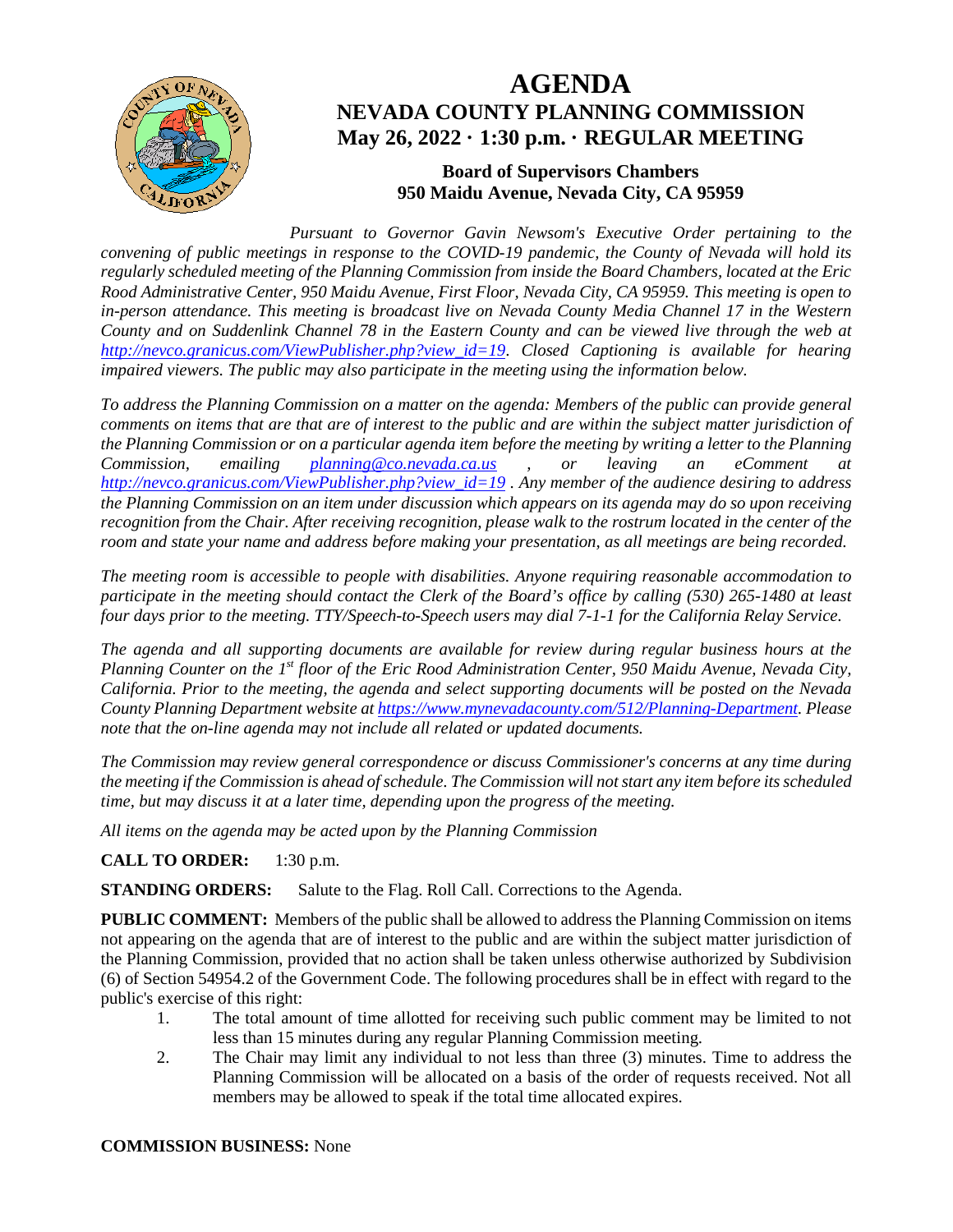

# **AGENDA NEVADA COUNTY PLANNING COMMISSION May 26, 2022 · 1:30 p.m. · REGULAR MEETING**

# **Board of Supervisors Chambers 950 Maidu Avenue, Nevada City, CA 95959**

*Pursuant to Governor Gavin Newsom's Executive Order pertaining to the convening of public meetings in response to the COVID-19 pandemic, the County of Nevada will hold its regularly scheduled meeting of the Planning Commission from inside the Board Chambers, located at the Eric Rood Administrative Center, 950 Maidu Avenue, First Floor, Nevada City, CA 95959. This meeting is open to in-person attendance. This meeting is broadcast live on Nevada County Media Channel 17 in the Western County and on Suddenlink Channel 78 in the Eastern County and can be viewed live through the web at [http://nevco.granicus.com/ViewPublisher.php?view\\_id=19](http://nevco.granicus.com/ViewPublisher.php?view_id=19)*. *Closed Captioning is available for hearing impaired viewers. The public may also participate in the meeting using the information below.* 

*To address the Planning Commission on a matter on the agenda: Members of the public can provide general comments on items that are that are of interest to the public and are within the subject matter jurisdiction of the Planning Commission or on a particular agenda item before the meeting by writing a letter to the Planning Commission, emailing [planning@co.nevada.ca.us](mailto:planning@co.nevada.ca.us) , or leaving an eComment at [http://nevco.granicus.com/ViewPublisher.php?view\\_id=19](http://nevco.granicus.com/ViewPublisher.php?view_id=19) . Any member of the audience desiring to address the Planning Commission on an item under discussion which appears on its agenda may do so upon receiving recognition from the Chair. After receiving recognition, please walk to the rostrum located in the center of the room and state your name and address before making your presentation, as all meetings are being recorded.* 

*The meeting room is accessible to people with disabilities. Anyone requiring reasonable accommodation to participate in the meeting should contact the Clerk of the Board's office by calling (530) 265-1480 at least four days prior to the meeting. TTY/Speech-to-Speech users may dial 7-1-1 for the California Relay Service.* 

*The agenda and all supporting documents are available for review during regular business hours at the Planning Counter on the 1st floor of the Eric Rood Administration Center, 950 Maidu Avenue, Nevada City, California. Prior to the meeting, the agenda and select supporting documents will be posted on the Nevada County Planning Department website a[t https://www.mynevadacounty.com/512/Planning-Department.](https://www.mynevadacounty.com/512/Planning-Department) Please note that the on-line agenda may not include all related or updated documents.*

*The Commission may review general correspondence or discuss Commissioner's concerns at any time during the meeting if the Commission is ahead of schedule. The Commission will not start any item before its scheduled time, but may discuss it at a later time, depending upon the progress of the meeting.*

*All items on the agenda may be acted upon by the Planning Commission*

**CALL TO ORDER:** 1:30 p.m.

**STANDING ORDERS:** Salute to the Flag. Roll Call. Corrections to the Agenda.

**PUBLIC COMMENT:** Members of the public shall be allowed to address the Planning Commission on items not appearing on the agenda that are of interest to the public and are within the subject matter jurisdiction of the Planning Commission, provided that no action shall be taken unless otherwise authorized by Subdivision (6) of Section 54954.2 of the Government Code. The following procedures shall be in effect with regard to the public's exercise of this right:

- 1. The total amount of time allotted for receiving such public comment may be limited to not less than 15 minutes during any regular Planning Commission meeting.
- 2. The Chair may limit any individual to not less than three (3) minutes. Time to address the Planning Commission will be allocated on a basis of the order of requests received. Not all members may be allowed to speak if the total time allocated expires.

#### **COMMISSION BUSINESS:** None